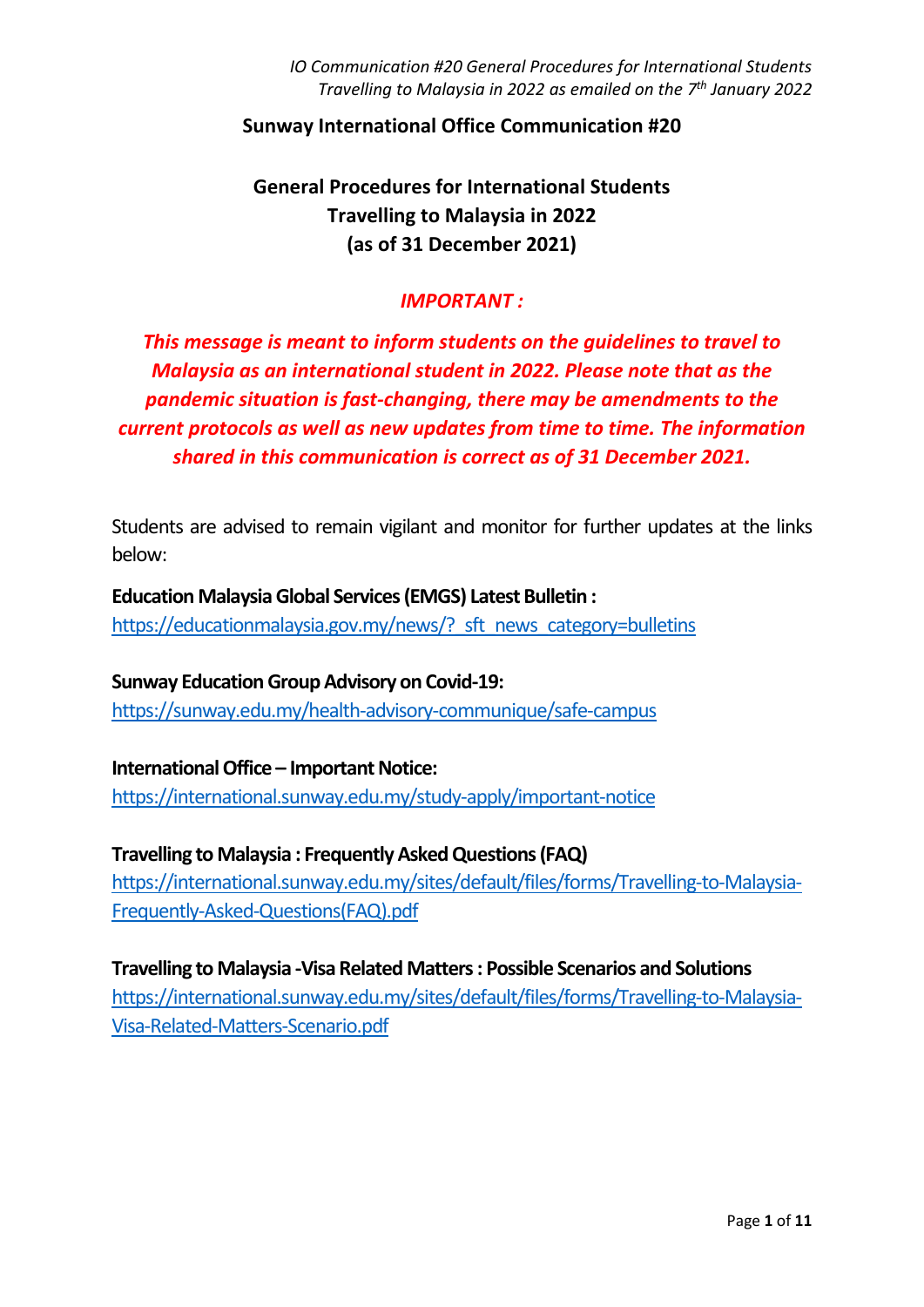#### **Sunway International Office Communication #20**

# **General Procedures for International Students Travelling to Malaysia in 2022 (as of 31 December 2021)**

### *IMPORTANT :*

# *This message is meant to inform students on the guidelines to travel to Malaysia as an international student in 2022. Please note that as the pandemic situation is fast-changing, there may be amendments to the current protocols as well as new updates from time to time. The information shared in this communication is correct as of 31 December 2021.*

Students are advised to remain vigilant and monitor for further updates at the links below:

**Education Malaysia Global Services (EMGS) Latest Bulletin :** https://educationmalaysia.gov.my/news/? sft\_news\_category=bulletins

**Sunway Education Group Advisory on Covid-19:** <https://sunway.edu.my/health-advisory-communique/safe-campus>

**International Office – Important Notice:** <https://international.sunway.edu.my/study-apply/important-notice>

**Travelling to Malaysia : Frequently Asked Questions (FAQ)**  [https://international.sunway.edu.my/sites/default/files/forms/Travelling-to-Malaysia-](https://international.sunway.edu.my/sites/default/files/forms/Travelling-to-Malaysia-Frequently-Asked-Questions(FAQ).pdf)[Frequently-Asked-Questions\(FAQ\).pdf](https://international.sunway.edu.my/sites/default/files/forms/Travelling-to-Malaysia-Frequently-Asked-Questions(FAQ).pdf)

**Travelling to Malaysia -Visa Related Matters : Possible Scenarios and Solutions**  [https://international.sunway.edu.my/sites/default/files/forms/Travelling-to-Malaysia-](https://international.sunway.edu.my/sites/default/files/forms/Travelling-to-Malaysia-Visa-Related-Matters-Scenario.pdf)[Visa-Related-Matters-Scenario.pdf](https://international.sunway.edu.my/sites/default/files/forms/Travelling-to-Malaysia-Visa-Related-Matters-Scenario.pdf)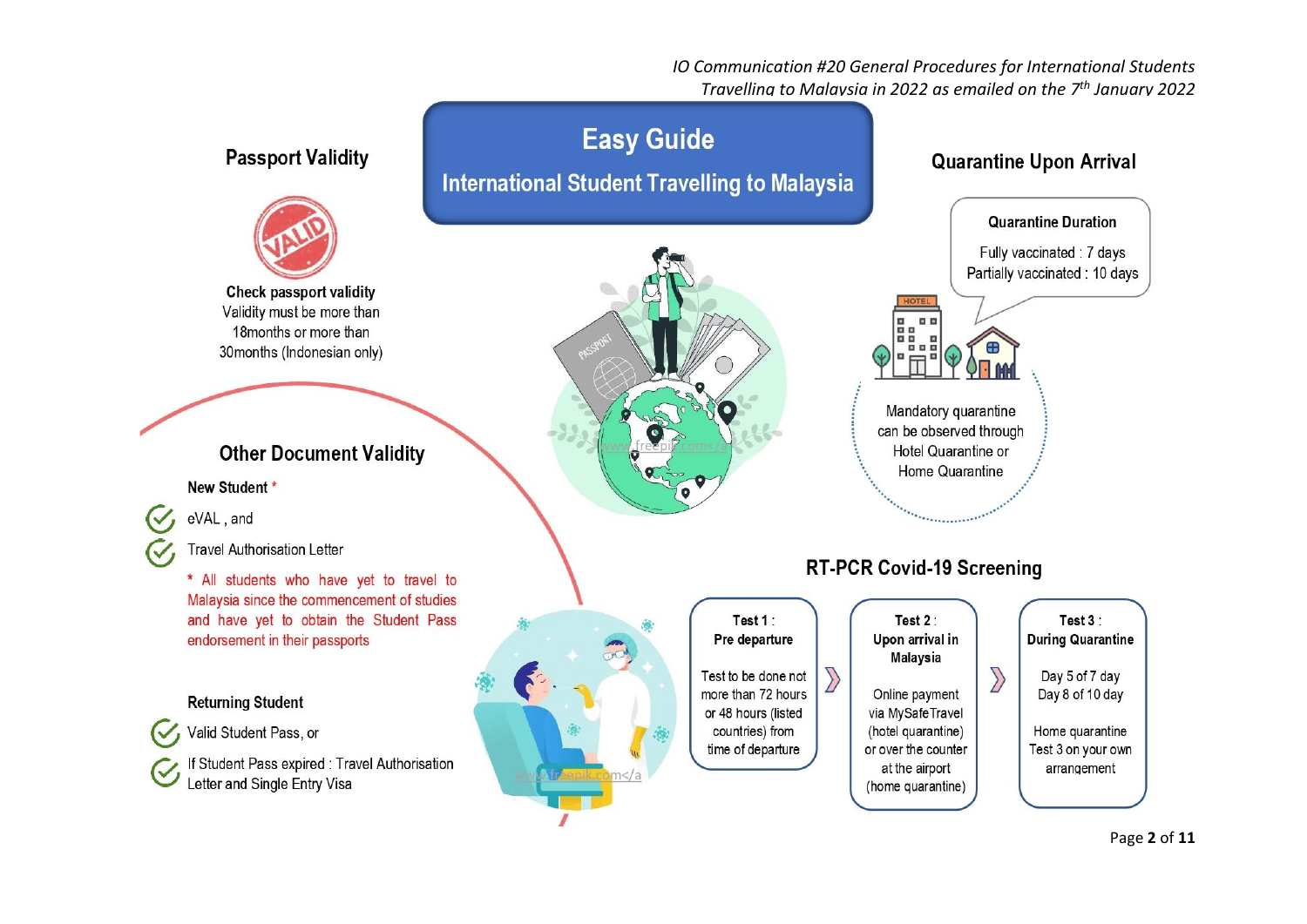*IO Communication #20 General Procedures for International Students Travelling to Malaysia in 2022 as emailed on the 7 th January 2022*



Page **2** of **11**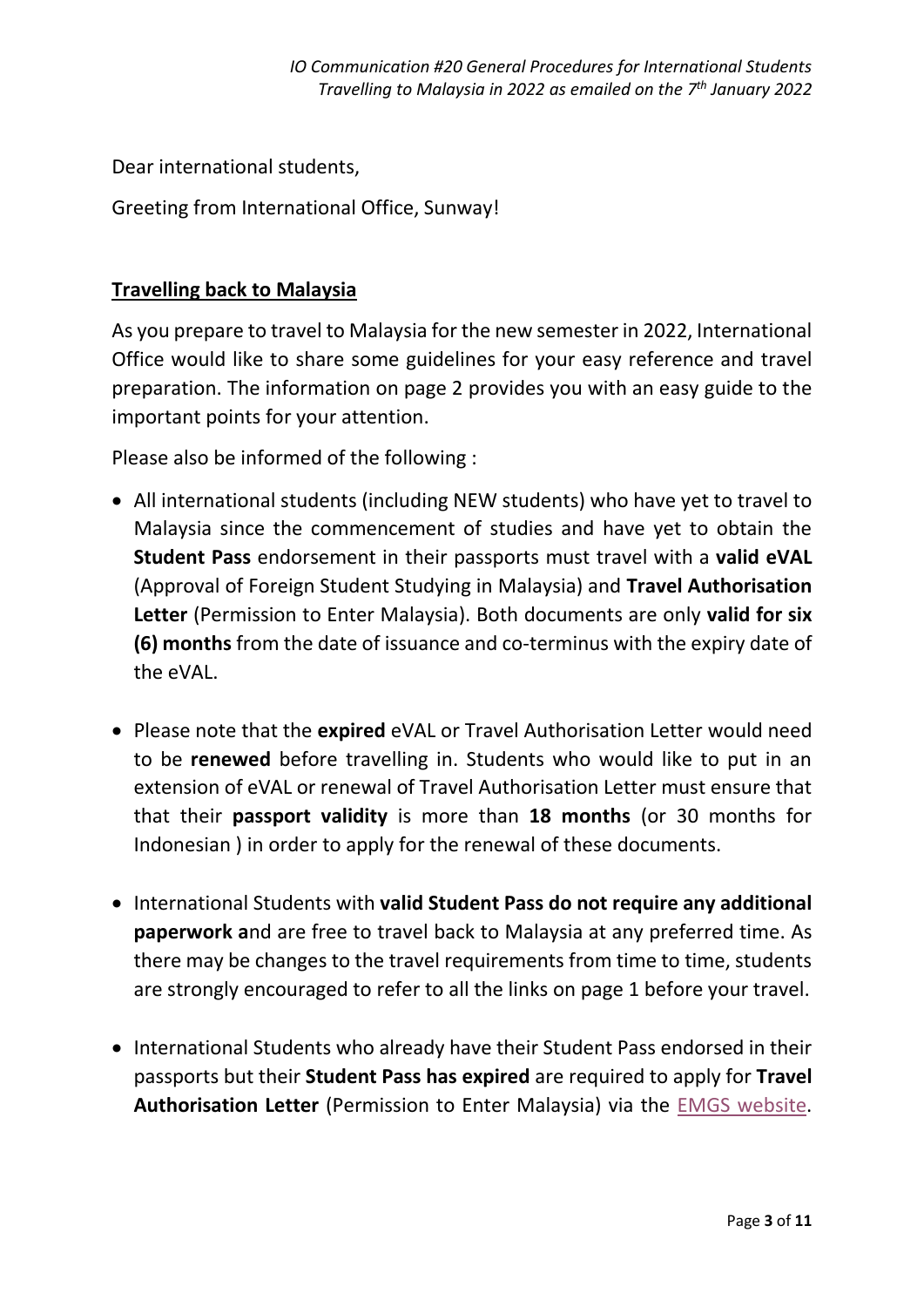Dear international students,

Greeting from International Office, Sunway!

# **Travelling back to Malaysia**

As you prepare to travel to Malaysia for the new semester in 2022, International Office would like to share some guidelines for your easy reference and travel preparation. The information on page 2 provides you with an easy guide to the important points for your attention.

Please also be informed of the following :

- All international students (including NEW students) who have yet to travel to Malaysia since the commencement of studies and have yet to obtain the **Student Pass** endorsement in their passports must travel with a **valid eVAL**  (Approval of Foreign Student Studying in Malaysia) and **Travel Authorisation Letter** (Permission to Enter Malaysia). Both documents are only **valid for six (6) months** from the date of issuance and co-terminus with the expiry date of the eVAL.
- Please note that the **expired** eVAL or Travel Authorisation Letter would need to be **renewed** before travelling in. Students who would like to put in an extension of eVAL or renewal of Travel Authorisation Letter must ensure that that their **passport validity** is more than **18 months** (or 30 months for Indonesian ) in order to apply for the renewal of these documents.
- International Students with **valid Student Pass do not require any additional paperwork a**nd are free to travel back to Malaysia at any preferred time. As there may be changes to the travel requirements from time to time, students are strongly encouraged to refer to all the links on page 1 before your travel.
- International Students who already have their Student Pass endorsed in their passports but their **Student Pass has expired** are required to apply for **Travel Authorisation Letter** (Permission to Enter Malaysia) via the [EMGS website.](https://visa.educationmalaysia.gov.my/guidelines/travel-authorisation-form-base.html)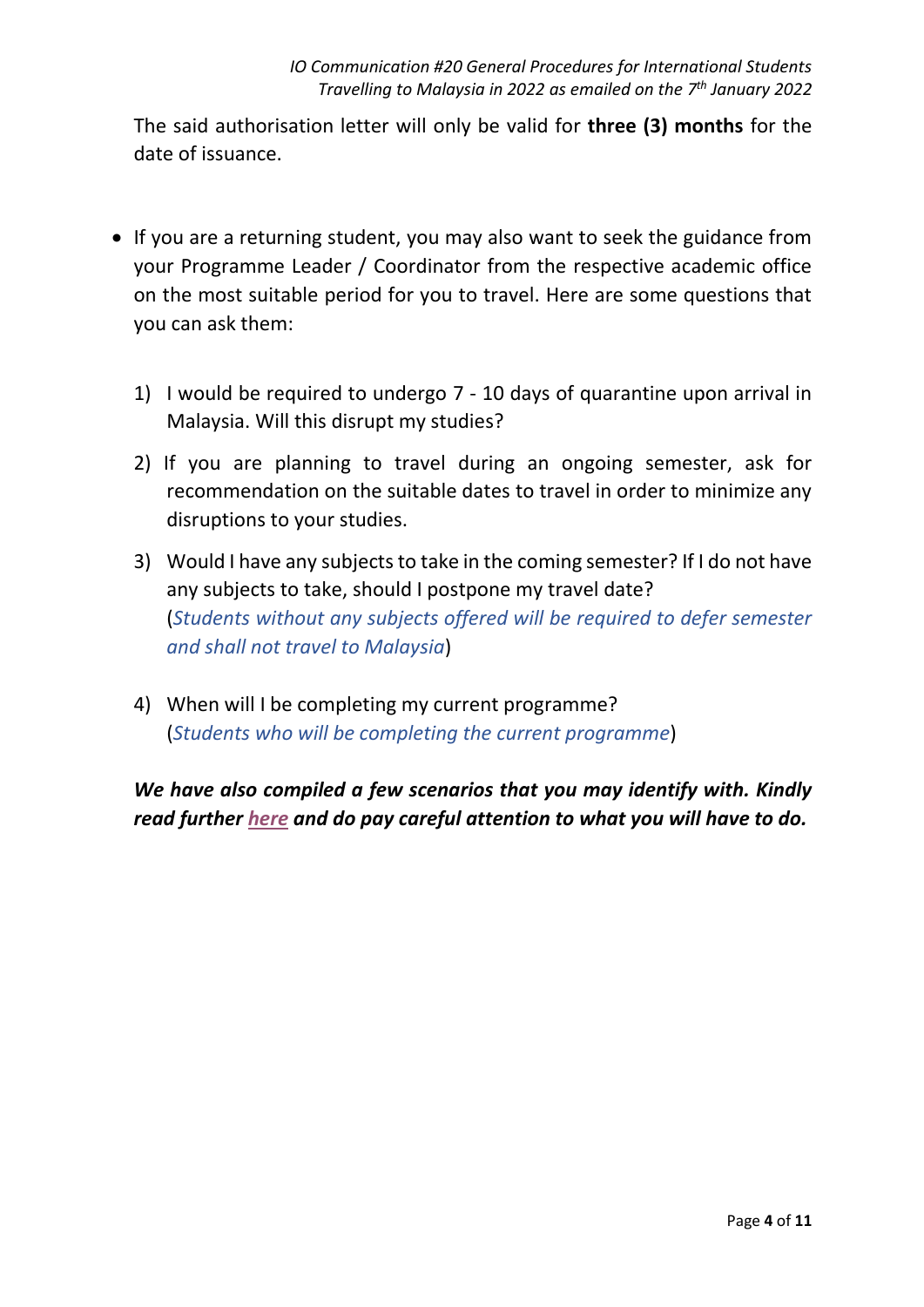The said authorisation letter will only be valid for **three (3) months** for the date of issuance.

- If you are a returning student, you may also want to seek the guidance from your Programme Leader / Coordinator from the respective academic office on the most suitable period for you to travel. Here are some questions that you can ask them:
	- 1) I would be required to undergo 7 10 days of quarantine upon arrival in Malaysia. Will this disrupt my studies?
	- 2) If you are planning to travel during an ongoing semester, ask for recommendation on the suitable dates to travel in order to minimize any disruptions to your studies.
	- 3) Would I have any subjects to take in the coming semester? If I do not have any subjects to take, should I postpone my travel date? (*Students without any subjects offered will be required to defer semester and shall not travel to Malaysia*)
	- 4) When will I be completing my current programme? (*Students who will be completing the current programme*)

*We have also compiled a few scenarios that you may identify with. Kindly read further [here](https://international.sunway.edu.my/sites/default/files/forms/Travelling-to-Malaysia-Visa-Related-Matters-Scenario.pdf) and do pay careful attention to what you will have to do.*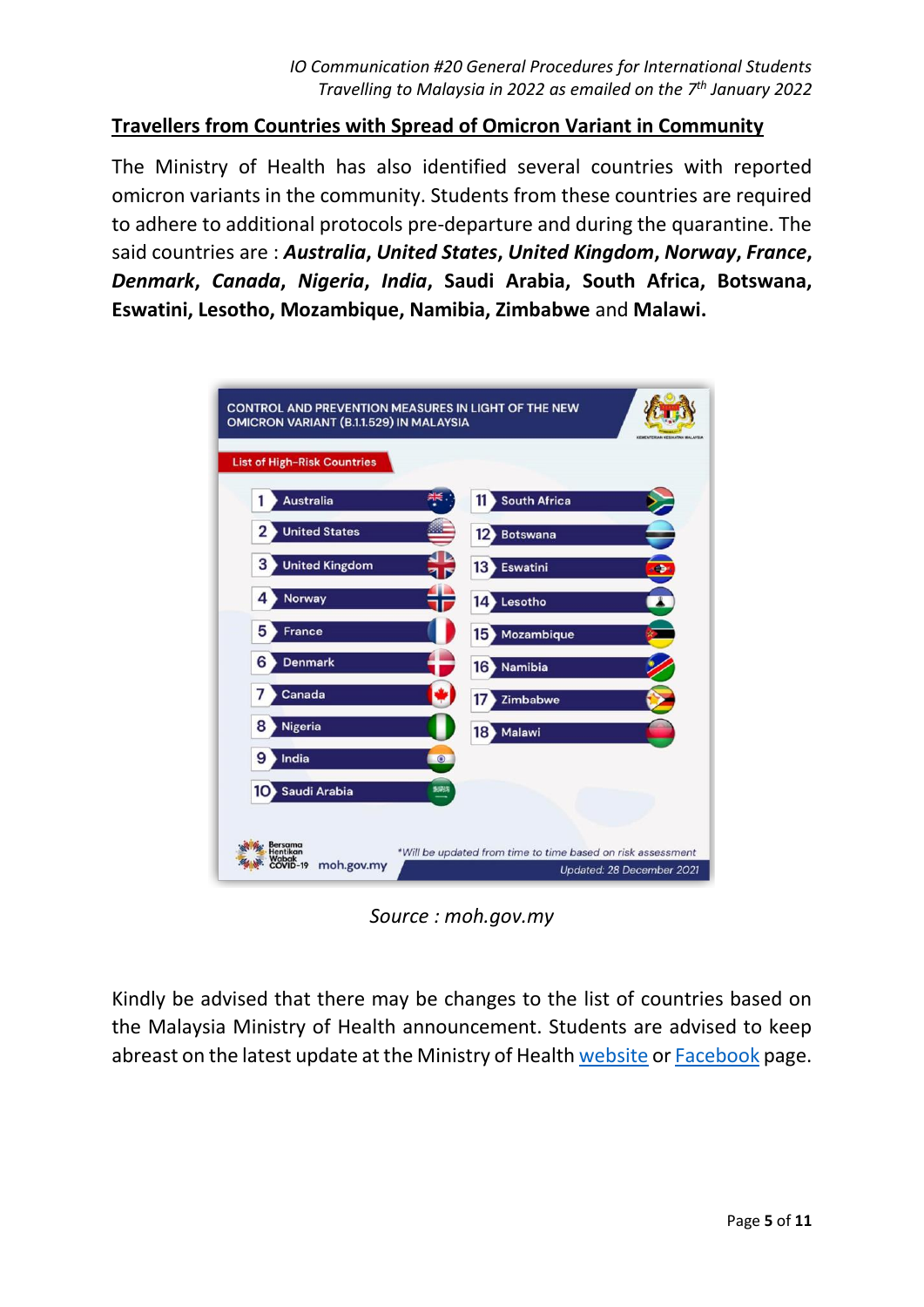#### **Travellers from Countries with Spread of Omicron Variant in Community**

The Ministry of Health has also identified several countries with reported omicron variants in the community. Students from these countries are required to adhere to additional protocols pre-departure and during the quarantine. The said countries are : *Australia***,** *United States***,** *United Kingdom***,** *Norway***,** *France***,**  *Denmark***,** *Canada***,** *Nigeria***,** *India***, Saudi Arabia, South Africa, Botswana, Eswatini, Lesotho, Mozambique, Namibia, Zimbabwe** and **Malawi.**



*Source : moh.gov.my*

Kindly be advised that there may be changes to the list of countries based on the Malaysia Ministry of Health announcement. Students are advised to keep abreast on the latest update at the Ministry of Health [website](https://covid-19.moh.gov.my/) or [Facebook](https://www.facebook.com/kementeriankesihatanmalaysia) page.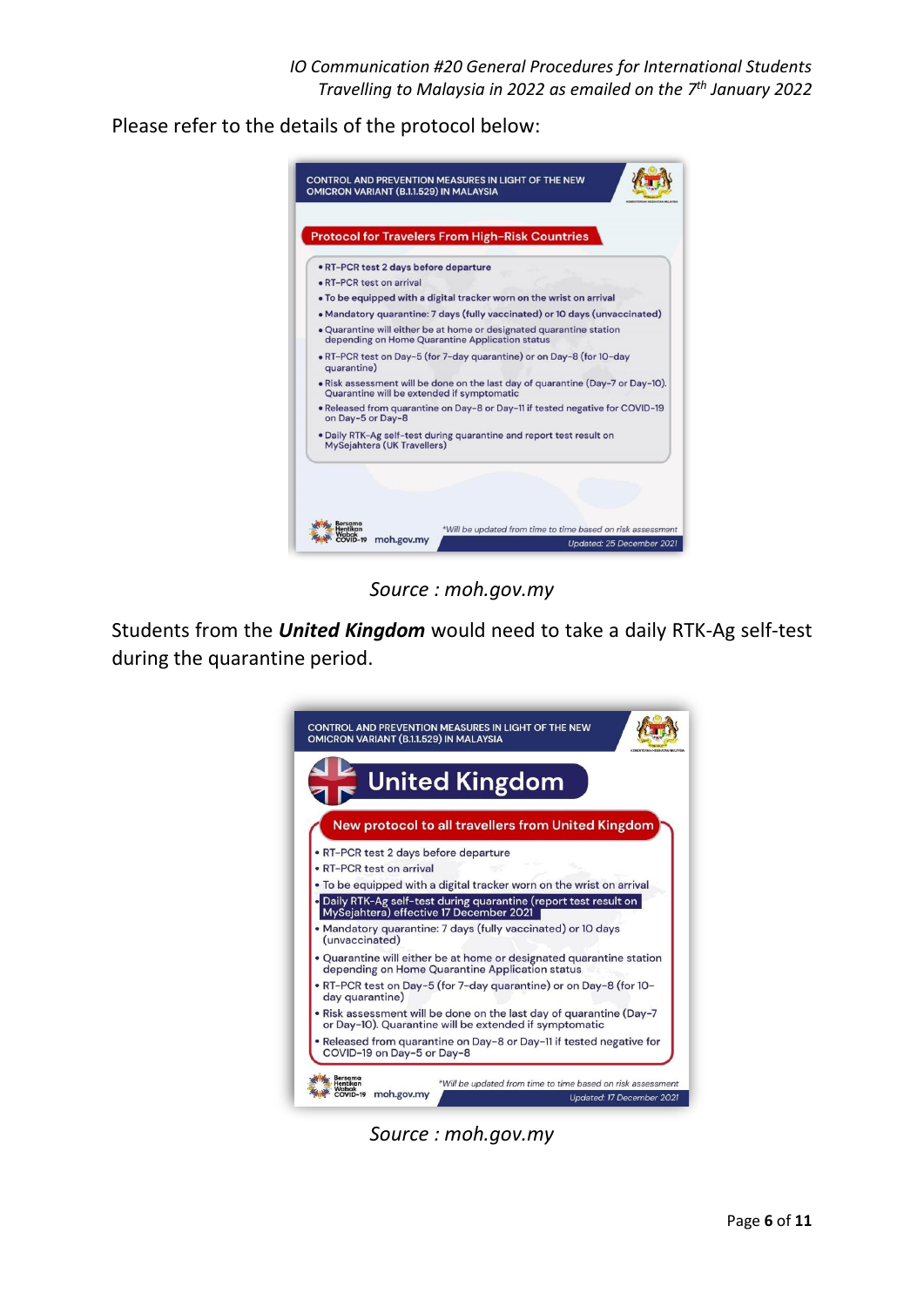*IO Communication #20 General Procedures for International Students Travelling to Malaysia in 2022 as emailed on the 7 th January 2022*

Please refer to the details of the protocol below:



*Source : moh.gov.my*

Students from the *United Kingdom* would need to take a daily RTK-Ag self-test during the quarantine period.



*Source : moh.gov.my*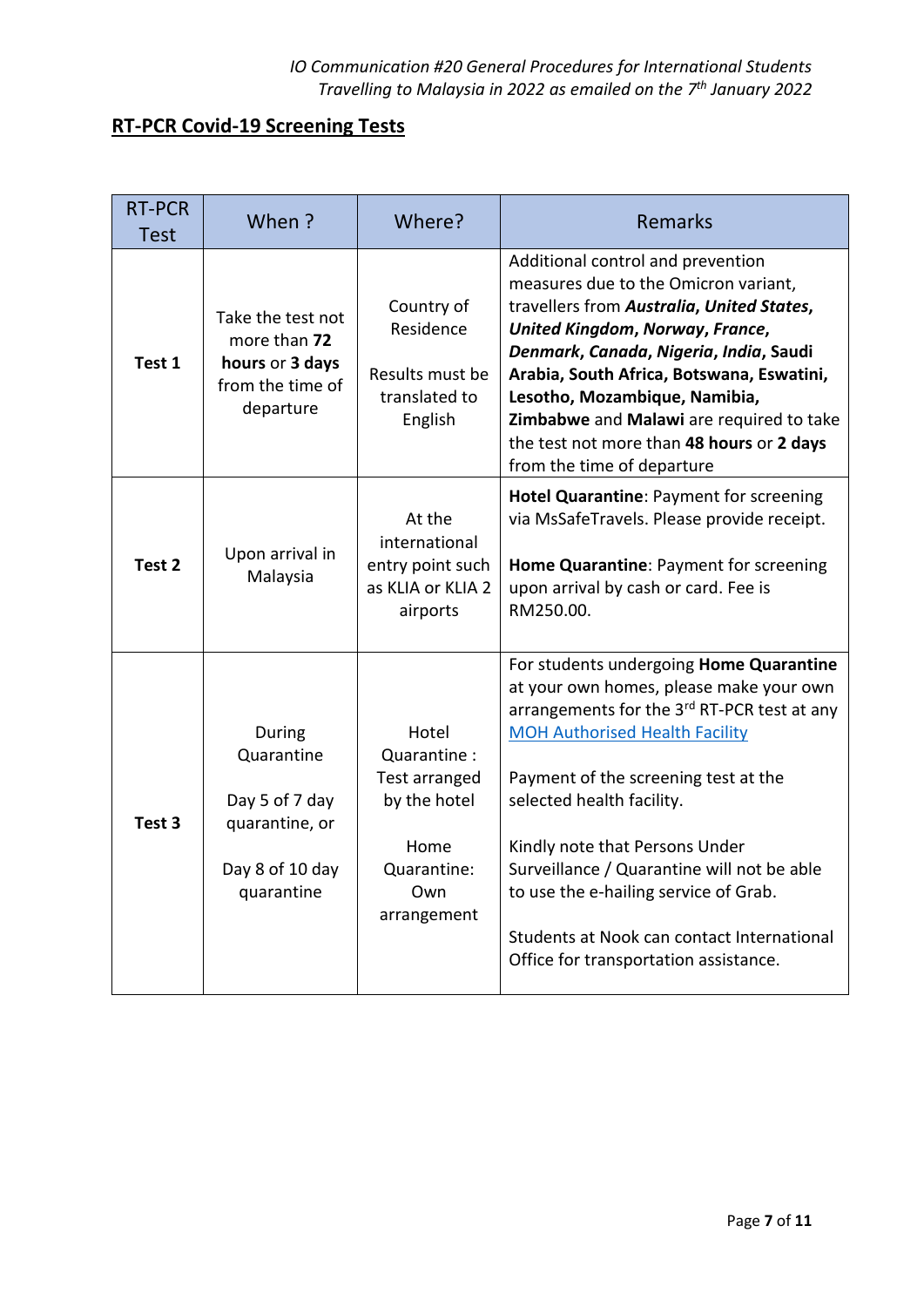# **RT-PCR Covid-19 Screening Tests**

| <b>RT-PCR</b><br><b>Test</b> | When ?                                                                                    | Where?                                                                                             | <b>Remarks</b>                                                                                                                                                                                                                                                                                                                                                                                                                                                  |
|------------------------------|-------------------------------------------------------------------------------------------|----------------------------------------------------------------------------------------------------|-----------------------------------------------------------------------------------------------------------------------------------------------------------------------------------------------------------------------------------------------------------------------------------------------------------------------------------------------------------------------------------------------------------------------------------------------------------------|
| Test 1                       | Take the test not<br>more than 72<br>hours or 3 days<br>from the time of<br>departure     | Country of<br>Residence<br>Results must be<br>translated to<br>English                             | Additional control and prevention<br>measures due to the Omicron variant,<br>travellers from Australia, United States,<br>United Kingdom, Norway, France,<br>Denmark, Canada, Nigeria, India, Saudi<br>Arabia, South Africa, Botswana, Eswatini,<br>Lesotho, Mozambique, Namibia,<br>Zimbabwe and Malawi are required to take<br>the test not more than 48 hours or 2 days<br>from the time of departure                                                        |
| Test <sub>2</sub>            | Upon arrival in<br>Malaysia                                                               | At the<br>international<br>entry point such<br>as KLIA or KLIA 2<br>airports                       | Hotel Quarantine: Payment for screening<br>via MsSafeTravels. Please provide receipt.<br>Home Quarantine: Payment for screening<br>upon arrival by cash or card. Fee is<br>RM250.00.                                                                                                                                                                                                                                                                            |
| Test 3                       | During<br>Quarantine<br>Day 5 of 7 day<br>quarantine, or<br>Day 8 of 10 day<br>quarantine | Hotel<br>Quarantine:<br>Test arranged<br>by the hotel<br>Home<br>Quarantine:<br>Own<br>arrangement | For students undergoing Home Quarantine<br>at your own homes, please make your own<br>arrangements for the 3rd RT-PCR test at any<br><b>MOH Authorised Health Facility</b><br>Payment of the screening test at the<br>selected health facility.<br>Kindly note that Persons Under<br>Surveillance / Quarantine will not be able<br>to use the e-hailing service of Grab.<br>Students at Nook can contact International<br>Office for transportation assistance. |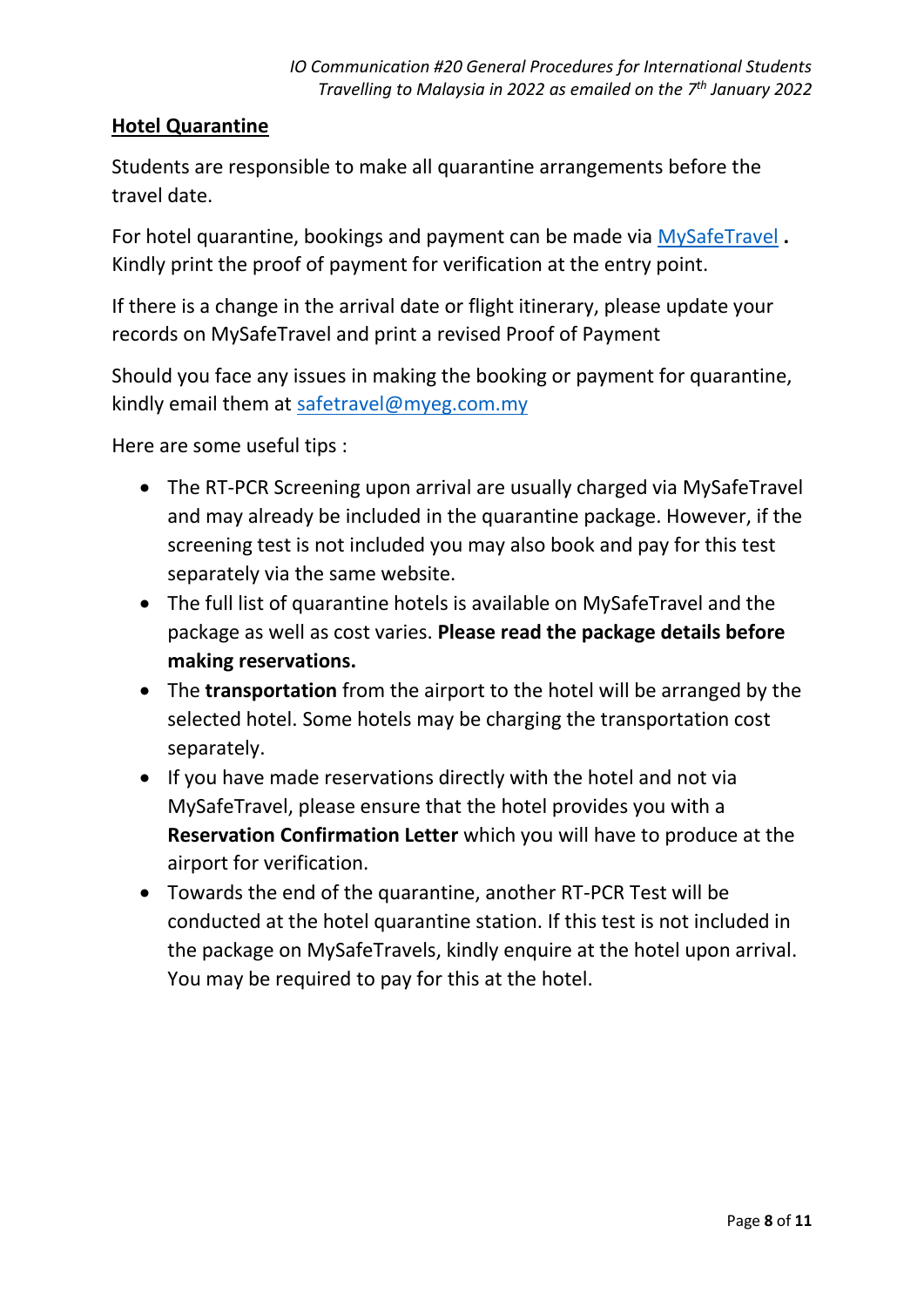### **Hotel Quarantine**

Students are responsible to make all quarantine arrangements before the travel date.

For hotel quarantine, bookings and payment can be made via [MySafeTravel](https://safetravel.myeg.com.my/) **.**  Kindly print the proof of payment for verification at the entry point.

If there is a change in the arrival date or flight itinerary, please update your records on MySafeTravel and print a revised Proof of Payment

Should you face any issues in making the booking or payment for quarantine, kindly email them at [safetravel@myeg.com.my](mailto:safetravel@myeg.com.my)

Here are some useful tips :

- The RT-PCR Screening upon arrival are usually charged via MySafeTravel and may already be included in the quarantine package. However, if the screening test is not included you may also book and pay for this test separately via the same website.
- The full list of quarantine hotels is available on MySafeTravel and the package as well as cost varies. **Please read the package details before making reservations.**
- The **transportation** from the airport to the hotel will be arranged by the selected hotel. Some hotels may be charging the transportation cost separately.
- If you have made reservations directly with the hotel and not via MySafeTravel, please ensure that the hotel provides you with a **Reservation Confirmation Letter** which you will have to produce at the airport for verification.
- Towards the end of the quarantine, another RT-PCR Test will be conducted at the hotel quarantine station. If this test is not included in the package on MySafeTravels, kindly enquire at the hotel upon arrival. You may be required to pay for this at the hotel.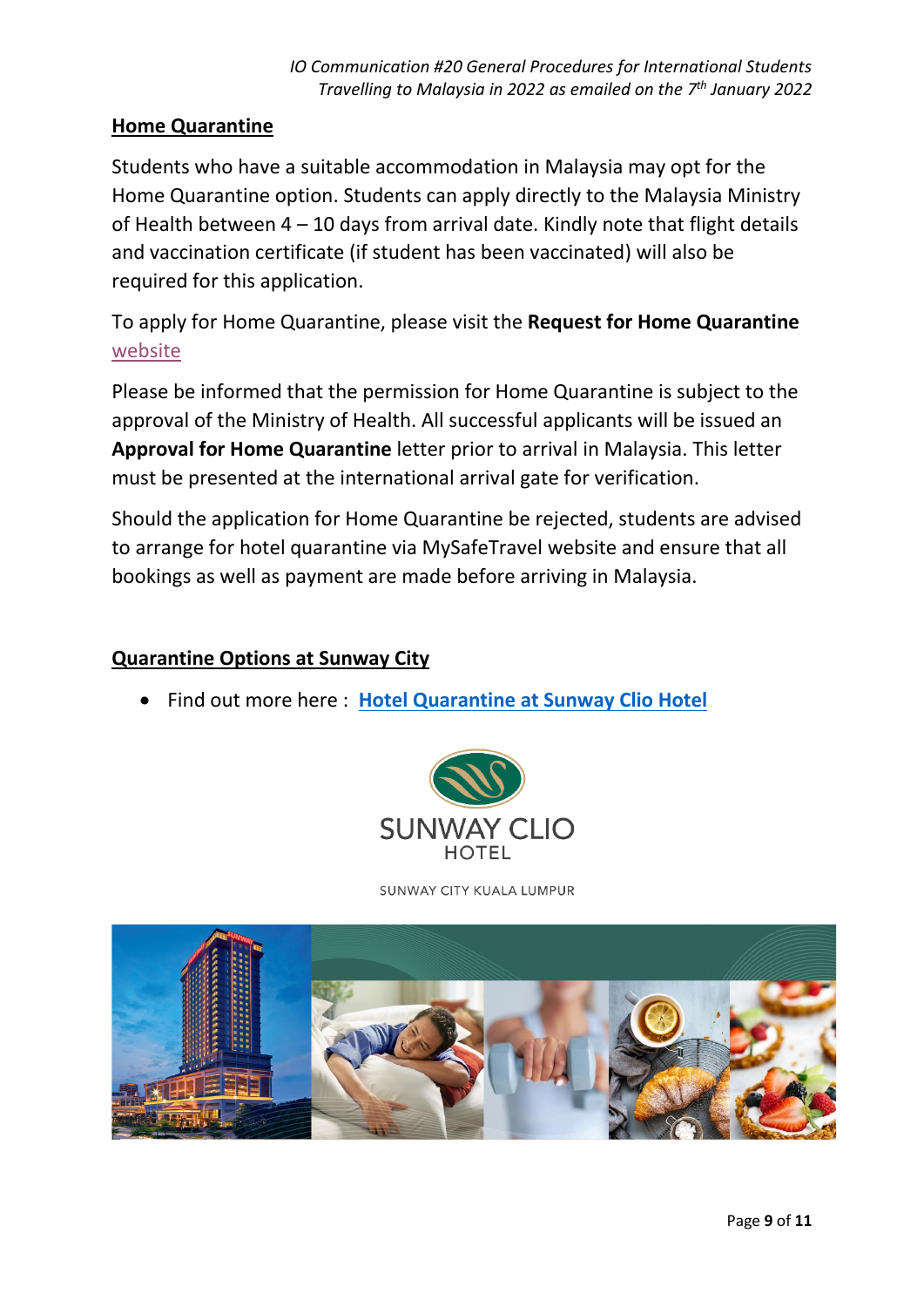### **Home Quarantine**

Students who have a suitable accommodation in Malaysia may opt for the Home Quarantine option. Students can apply directly to the Malaysia Ministry of Health between 4 – 10 days from arrival date. Kindly note that flight details and vaccination certificate (if student has been vaccinated) will also be required for this application.

To apply for Home Quarantine, please visit the **Request for Home Quarantine** [website](https://hso.moh.gov.my/outbreak-portal-hqa/index)

Please be informed that the permission for Home Quarantine is subject to the approval of the Ministry of Health. All successful applicants will be issued an **Approval for Home Quarantine** letter prior to arrival in Malaysia. This letter must be presented at the international arrival gate for verification.

Should the application for Home Quarantine be rejected, students are advised to arrange for hotel quarantine via MySafeTravel website and ensure that all bookings as well as payment are made before arriving in Malaysia.

## **Quarantine Options at Sunway City**

• Find out more here : **[Hotel Quarantine at Sunway Clio Hotel](https://www.sunwayhotels.com/sunway-clio/offers/premium-quarantine-stay-package)**



SUNWAY CITY KUALA LUMPUR

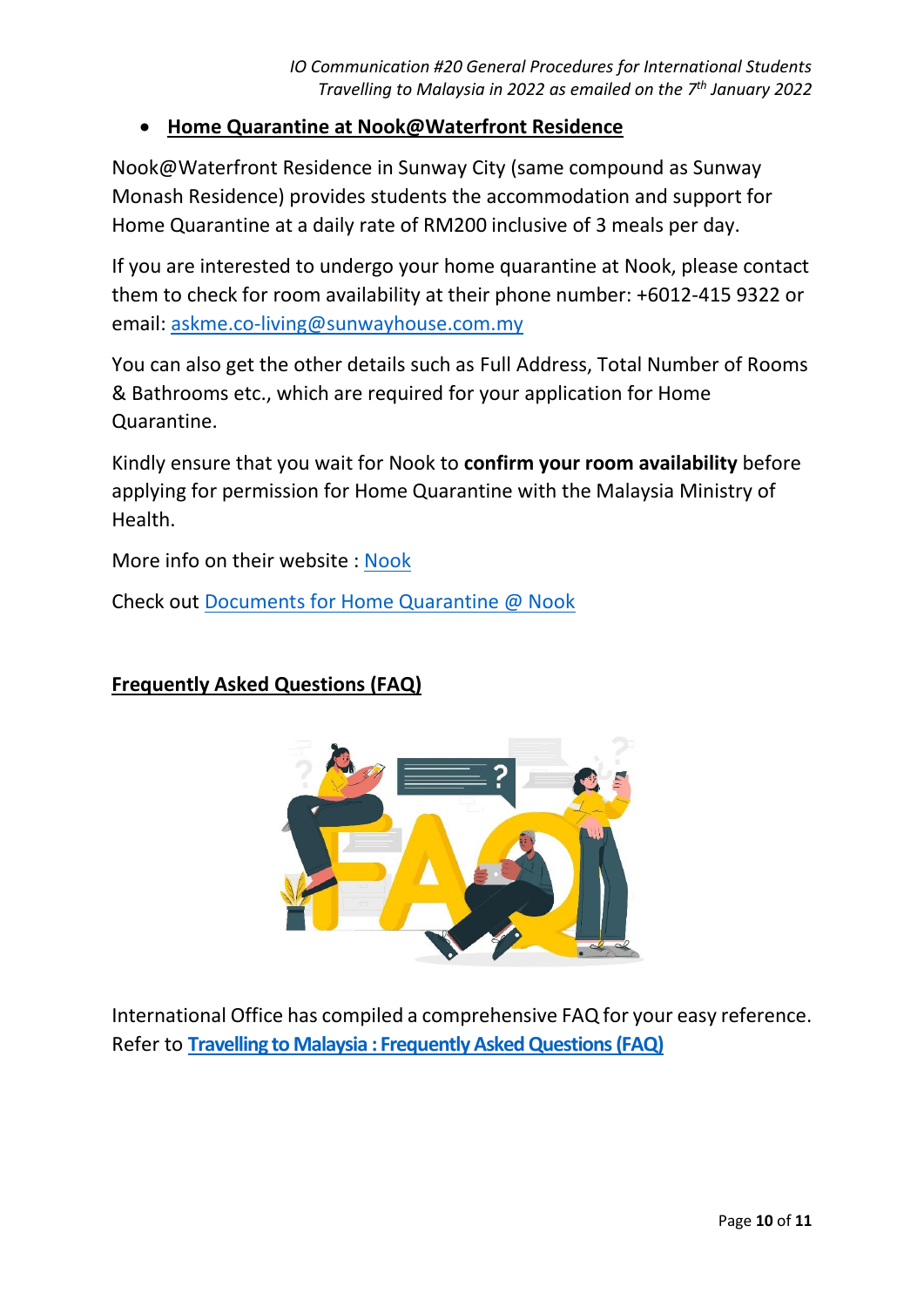## • **Home Quarantine at Nook@Waterfront Residence**

Nook@Waterfront Residence in Sunway City (same compound as Sunway Monash Residence) provides students the accommodation and support for Home Quarantine at a daily rate of RM200 inclusive of 3 meals per day.

If you are interested to undergo your home quarantine at Nook, please contact them to check for room availability at their phone number: +6012-415 9322 or email: [askme.co-living@sunwayhouse.com.my](mailto:askme.co-living@sunwayhouse.com.my)

You can also get the other details such as Full Address, Total Number of Rooms & Bathrooms etc., which are required for your application for Home Quarantine.

Kindly ensure that you wait for Nook to **confirm your room availability** before applying for permission for Home Quarantine with the Malaysia Ministry of Health.

More info on their website : [Nook](https://sunwayhouse.com.my/homepage/)

Check out [Documents for Home Quarantine @ Nook](https://bit.ly/NookHomeQuarantine)

# **Frequently Asked Questions (FAQ)**



International Office has compiled a comprehensive FAQ for your easy reference. Refer to **[Travelling to Malaysia : Frequently Asked Questions \(FAQ\)](https://international.sunway.edu.my/sites/default/files/forms/Travelling-to-Malaysia-Frequently-Asked-Questions(FAQ).pdf)**